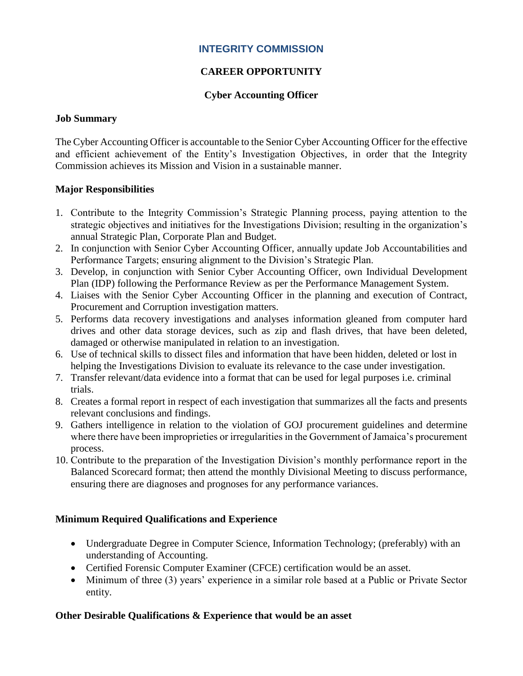### **INTEGRITY COMMISSION**

# **CAREER OPPORTUNITY**

#### **Cyber Accounting Officer**

#### **Job Summary**

The Cyber Accounting Officer is accountable to the Senior Cyber Accounting Officer for the effective and efficient achievement of the Entity's Investigation Objectives, in order that the Integrity Commission achieves its Mission and Vision in a sustainable manner.

#### **Major Responsibilities**

- 1. Contribute to the Integrity Commission's Strategic Planning process, paying attention to the strategic objectives and initiatives for the Investigations Division; resulting in the organization's annual Strategic Plan, Corporate Plan and Budget.
- 2. In conjunction with Senior Cyber Accounting Officer, annually update Job Accountabilities and Performance Targets; ensuring alignment to the Division's Strategic Plan.
- 3. Develop, in conjunction with Senior Cyber Accounting Officer, own Individual Development Plan (IDP) following the Performance Review as per the Performance Management System.
- 4. Liaises with the Senior Cyber Accounting Officer in the planning and execution of Contract, Procurement and Corruption investigation matters.
- 5. Performs data recovery investigations and analyses information gleaned from computer hard drives and other data storage devices, such as zip and flash drives, that have been deleted, damaged or otherwise manipulated in relation to an investigation.
- 6. Use of technical skills to dissect files and information that have been hidden, deleted or lost in helping the Investigations Division to evaluate its relevance to the case under investigation.
- 7. Transfer relevant/data evidence into a format that can be used for legal purposes i.e. criminal trials.
- 8. Creates a formal report in respect of each investigation that summarizes all the facts and presents relevant conclusions and findings.
- 9. Gathers intelligence in relation to the violation of GOJ procurement guidelines and determine where there have been improprieties or irregularities in the Government of Jamaica's procurement process.
- 10. Contribute to the preparation of the Investigation Division's monthly performance report in the Balanced Scorecard format; then attend the monthly Divisional Meeting to discuss performance, ensuring there are diagnoses and prognoses for any performance variances.

### **Minimum Required Qualifications and Experience**

- Undergraduate Degree in Computer Science, Information Technology; (preferably) with an understanding of Accounting.
- Certified Forensic Computer Examiner (CFCE) certification would be an asset.
- Minimum of three (3) years' experience in a similar role based at a Public or Private Sector entity.

### **Other Desirable Qualifications & Experience that would be an asset**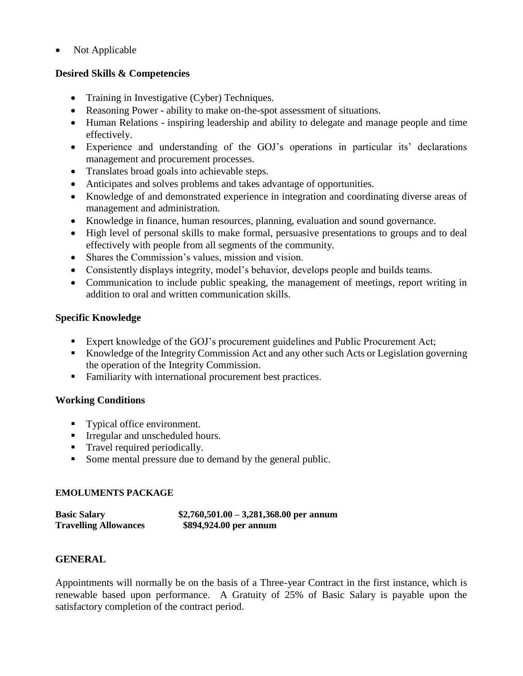• Not Applicable

### **Desired Skills & Competencies**

- Training in Investigative (Cyber) Techniques.
- Reasoning Power ability to make on-the-spot assessment of situations.
- Human Relations inspiring leadership and ability to delegate and manage people and time effectively.
- Experience and understanding of the GOJ's operations in particular its' declarations management and procurement processes.
- Translates broad goals into achievable steps.
- Anticipates and solves problems and takes advantage of opportunities.
- Knowledge of and demonstrated experience in integration and coordinating diverse areas of management and administration.
- Knowledge in finance, human resources, planning, evaluation and sound governance.
- High level of personal skills to make formal, persuasive presentations to groups and to deal effectively with people from all segments of the community.
- Shares the Commission's values, mission and vision.
- Consistently displays integrity, model's behavior, develops people and builds teams.
- Communication to include public speaking, the management of meetings, report writing in addition to oral and written communication skills.

# **Specific Knowledge**

- Expert knowledge of the GOJ's procurement guidelines and Public Procurement Act;
- Knowledge of the Integrity Commission Act and any other such Acts or Legislation governing the operation of the Integrity Commission.
- Familiarity with international procurement best practices.

# **Working Conditions**

- Typical office environment.
- **•** Irregular and unscheduled hours.
- Travel required periodically.
- Some mental pressure due to demand by the general public.

### **EMOLUMENTS PACKAGE**

**Basic Salary \$2,760,501.00 – 3,281,368.00 per annum Travelling Allowances \$894,924.00 per annum**

# **GENERAL**

Appointments will normally be on the basis of a Three-year Contract in the first instance, which is renewable based upon performance. A Gratuity of 25% of Basic Salary is payable upon the satisfactory completion of the contract period.